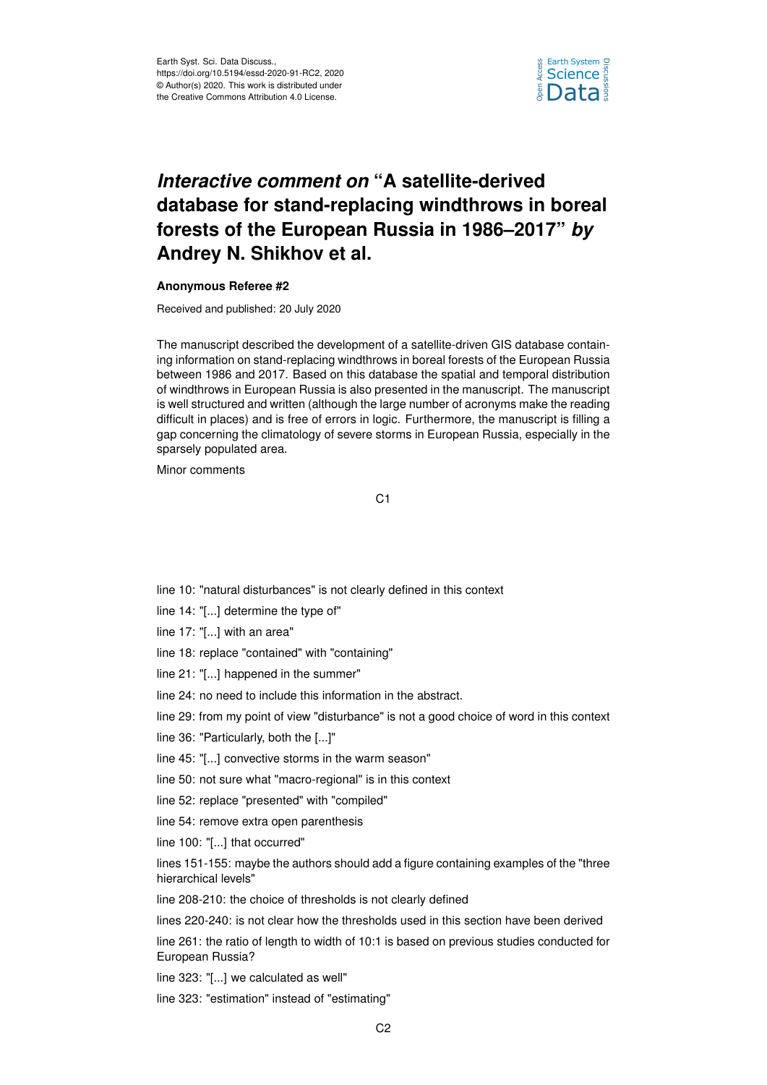

## *Interactive comment on* **"A satellite-derived database for stand-replacing windthrows in boreal forests of the European Russia in 1986–2017"** *by* **Andrey N. Shikhov et al.**

## **Anonymous Referee #2**

Received and published: 20 July 2020

The manuscript described the development of a satellite-driven GIS database containing information on stand-replacing windthrows in boreal forests of the European Russia between 1986 and 2017. Based on this database the spatial and temporal distribution of windthrows in European Russia is also presented in the manuscript. The manuscript is well structured and written (although the large number of acronyms make the reading difficult in places) and is free of errors in logic. Furthermore, the manuscript is filling a gap concerning the climatology of severe storms in European Russia, especially in the sparsely populated area.

Minor comments

C1

- line 10: "natural disturbances" is not clearly defined in this context
- line 14: "[...] determine the type of"
- line 17: "[...] with an area"
- line 18: replace "contained" with "containing"
- line 21: "[...] happened in the summer"
- line 24: no need to include this information in the abstract.
- line 29: from my point of view "disturbance" is not a good choice of word in this context
- line 36: "Particularly, both the [...]"
- line 45: "[...] convective storms in the warm season"
- line 50: not sure what "macro-regional" is in this context
- line 52: replace "presented" with "compiled"
- line 54: remove extra open parenthesis

line 100: "[...] that occurred"

lines 151-155: maybe the authors should add a figure containing examples of the "three hierarchical levels"

line 208-210: the choice of thresholds is not clearly defined

lines 220-240: is not clear how the thresholds used in this section have been derived

line 261: the ratio of length to width of 10:1 is based on previous studies conducted for European Russia?

line 323: "[...] we calculated as well"

line 323: "estimation" instead of "estimating"